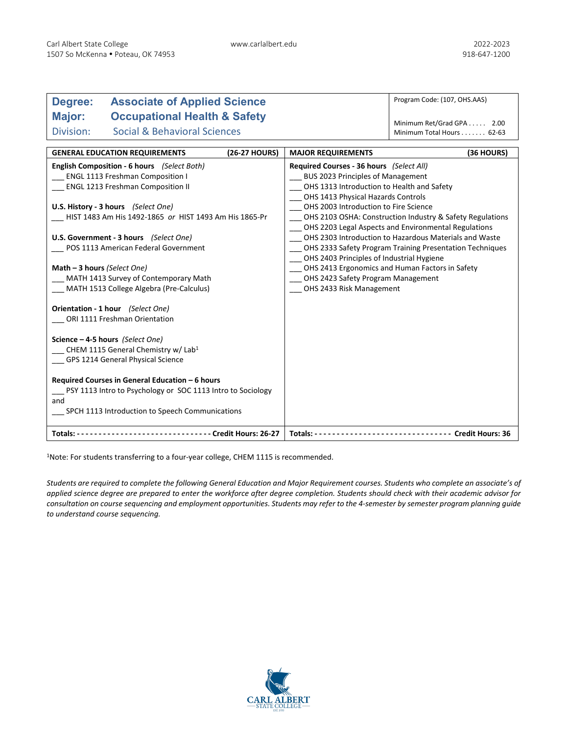| <b>Associate of Applied Science</b><br>Degree:               |                                       | Program Code: (107, OHS.AAS)                              |  |  |
|--------------------------------------------------------------|---------------------------------------|-----------------------------------------------------------|--|--|
| Major:<br><b>Occupational Health &amp; Safety</b>            |                                       |                                                           |  |  |
| <b>Social &amp; Behavioral Sciences</b><br>Division:         |                                       | Minimum Ret/Grad GPA 2.00                                 |  |  |
|                                                              |                                       | Minimum Total Hours 62-63                                 |  |  |
| <b>GENERAL EDUCATION REQUIREMENTS</b><br>(26-27 HOURS)       | <b>MAJOR REQUIREMENTS</b>             | (36 HOURS)                                                |  |  |
| <b>English Composition - 6 hours</b> (Select Both)           |                                       | Required Courses - 36 hours (Select All)                  |  |  |
| ENGL 1113 Freshman Composition I                             |                                       | BUS 2023 Principles of Management                         |  |  |
| <b>ENGL 1213 Freshman Composition II</b>                     |                                       | OHS 1313 Introduction to Health and Safety                |  |  |
|                                                              |                                       | OHS 1413 Physical Hazards Controls                        |  |  |
| U.S. History - 3 hours (Select One)                          | OHS 2003 Introduction to Fire Science |                                                           |  |  |
| HIST 1483 Am His 1492-1865 or HIST 1493 Am His 1865-Pr       |                                       | OHS 2103 OSHA: Construction Industry & Safety Regulations |  |  |
|                                                              |                                       | OHS 2203 Legal Aspects and Environmental Regulations      |  |  |
| U.S. Government - 3 hours (Select One)                       |                                       | OHS 2303 Introduction to Hazardous Materials and Waste    |  |  |
| POS 1113 American Federal Government                         |                                       | OHS 2333 Safety Program Training Presentation Techniques  |  |  |
|                                                              |                                       | _ OHS 2403 Principles of Industrial Hygiene               |  |  |
| Math - 3 hours (Select One)                                  |                                       | OHS 2413 Ergonomics and Human Factors in Safety           |  |  |
| MATH 1413 Survey of Contemporary Math                        |                                       | OHS 2423 Safety Program Management                        |  |  |
| MATH 1513 College Algebra (Pre-Calculus)                     |                                       | OHS 2433 Risk Management                                  |  |  |
| Orientation - 1 hour (Select One)                            |                                       |                                                           |  |  |
| ORI 1111 Freshman Orientation                                |                                       |                                                           |  |  |
| Science - 4-5 hours (Select One)                             |                                       |                                                           |  |  |
| CHEM 1115 General Chemistry w/ Lab <sup>1</sup>              |                                       |                                                           |  |  |
| GPS 1214 General Physical Science                            |                                       |                                                           |  |  |
|                                                              |                                       |                                                           |  |  |
| Required Courses in General Education - 6 hours              |                                       |                                                           |  |  |
| PSY 1113 Intro to Psychology or SOC 1113 Intro to Sociology  |                                       |                                                           |  |  |
| and                                                          |                                       |                                                           |  |  |
| SPCH 1113 Introduction to Speech Communications              |                                       |                                                           |  |  |
|                                                              |                                       |                                                           |  |  |
| Totals: -------------------------------- Credit Hours: 26-27 |                                       |                                                           |  |  |

1Note: For students transferring to a four-year college, CHEM 1115 is recommended.

*Students are required to complete the following General Education and Major Requirement courses. Students who complete an associate's of applied science degree are prepared to enter the workforce after degree completion. Students should check with their academic advisor for consultation on course sequencing and employment opportunities. Students may refer to the 4-semester by semester program planning guide to understand course sequencing.*